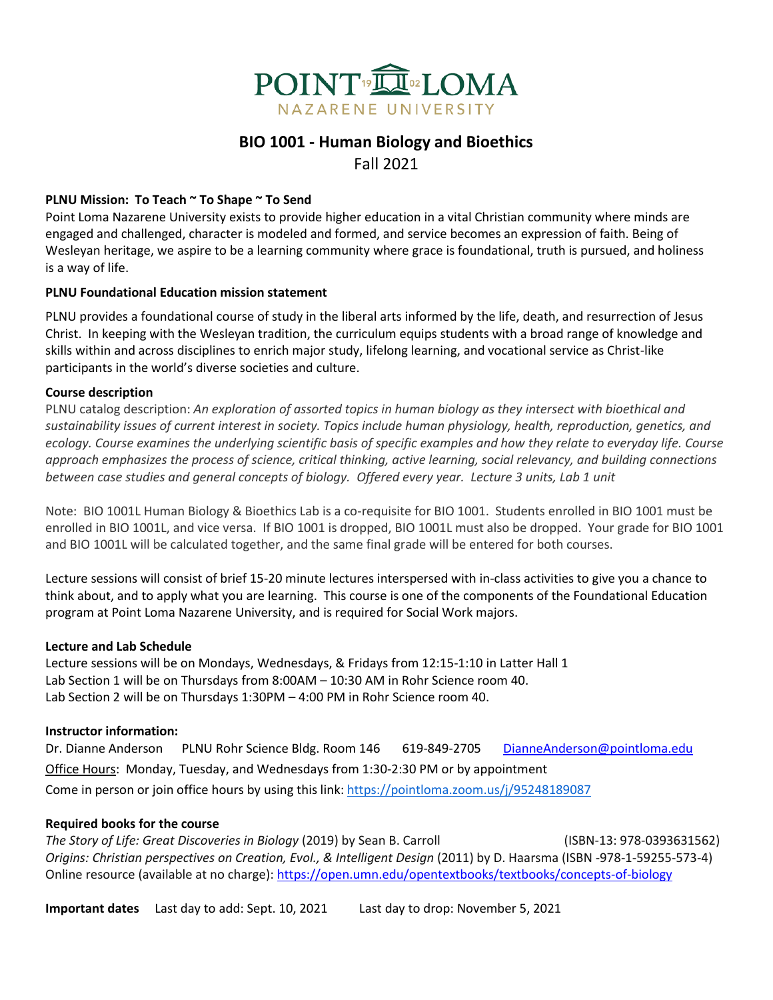

# **BIO 1001 - Human Biology and Bioethics**  Fall 2021

### **PLNU Mission: To Teach ~ To Shape ~ To Send**

Point Loma Nazarene University exists to provide higher education in a vital Christian community where minds are engaged and challenged, character is modeled and formed, and service becomes an expression of faith. Being of Wesleyan heritage, we aspire to be a learning community where grace is foundational, truth is pursued, and holiness is a way of life.

#### **PLNU Foundational Education mission statement**

PLNU provides a foundational course of study in the liberal arts informed by the life, death, and resurrection of Jesus Christ. In keeping with the Wesleyan tradition, the curriculum equips students with a broad range of knowledge and skills within and across disciplines to enrich major study, lifelong learning, and vocational service as Christ-like participants in the world's diverse societies and culture.

#### **Course description**

PLNU catalog description: *An exploration of assorted topics in human biology as they intersect with bioethical and sustainability issues of current interest in society. Topics include human physiology, health, reproduction, genetics, and ecology. Course examines the underlying scientific basis of specific examples and how they relate to everyday life. Course approach emphasizes the process of science, critical thinking, active learning, social relevancy, and building connections between case studies and general concepts of biology. Offered every year. Lecture 3 units, Lab 1 unit*

Note: BIO 1001L Human Biology & Bioethics Lab is a co-requisite for BIO 1001. Students enrolled in BIO 1001 must be enrolled in BIO 1001L, and vice versa. If BIO 1001 is dropped, BIO 1001L must also be dropped. Your grade for BIO 1001 and BIO 1001L will be calculated together, and the same final grade will be entered for both courses.

Lecture sessions will consist of brief 15-20 minute lectures interspersed with in-class activities to give you a chance to think about, and to apply what you are learning. This course is one of the components of the Foundational Education program at Point Loma Nazarene University, and is required for Social Work majors.

#### **Lecture and Lab Schedule**

Lecture sessions will be on Mondays, Wednesdays, & Fridays from 12:15-1:10 in Latter Hall 1 Lab Section 1 will be on Thursdays from 8:00AM – 10:30 AM in Rohr Science room 40. Lab Section 2 will be on Thursdays 1:30PM – 4:00 PM in Rohr Science room 40.

#### **Instructor information:**

Dr. Dianne Anderson PLNU Rohr Science Bldg. Room 146 619-849-2705 DianneAnderson@pointloma.edu Office Hours: Monday, Tuesday, and Wednesdays from 1:30-2:30 PM or by appointment Come in person or join office hours by using this link:<https://pointloma.zoom.us/j/95248189087>

#### **Required books for the course**

*The Story of Life: Great Discoveries in Biology* (2019) by Sean B. Carroll (ISBN-13: 978-0393631562) *Origins: Christian perspectives on Creation, Evol., & Intelligent Design* (2011) by D. Haarsma (ISBN -978-1-59255-573-4) Online resource (available at no charge): <https://open.umn.edu/opentextbooks/textbooks/concepts-of-biology>

**Important dates** Last day to add: Sept. 10, 2021Last day to drop: November 5, 2021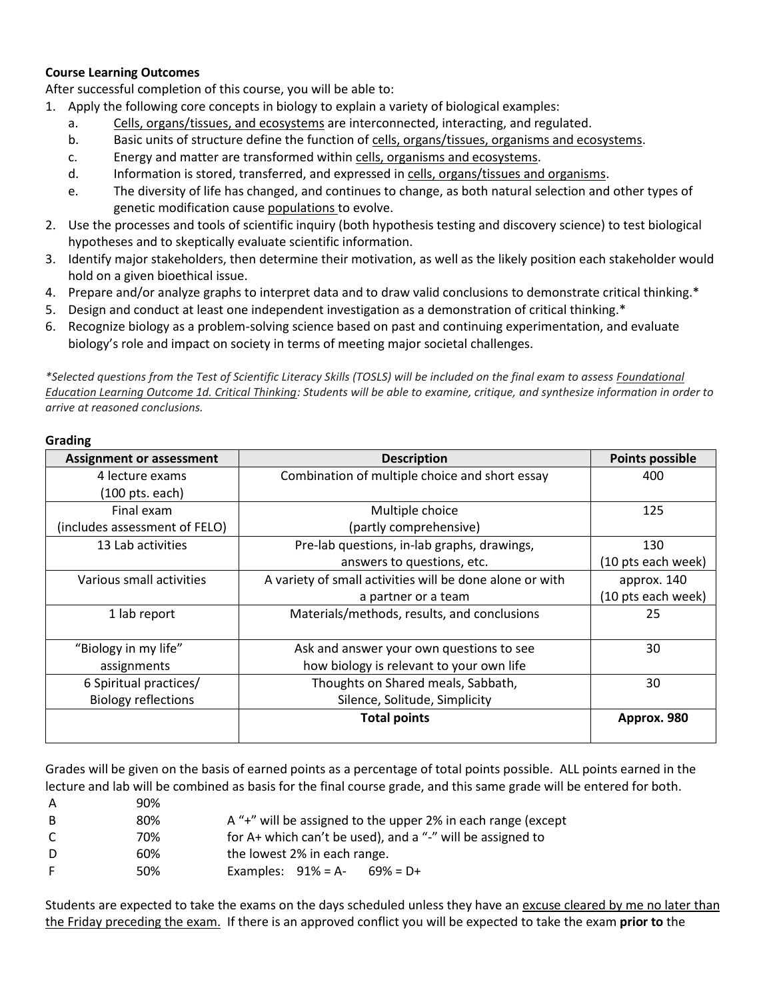#### **Course Learning Outcomes**

After successful completion of this course, you will be able to:

- 1. Apply the following core concepts in biology to explain a variety of biological examples:
	- a. Cells, organs/tissues, and ecosystems are interconnected, interacting, and regulated.
	- b. Basic units of structure define the function of cells, organs/tissues, organisms and ecosystems.
	- c. Energy and matter are transformed within cells, organisms and ecosystems.
	- d. Information is stored, transferred, and expressed in cells, organs/tissues and organisms.
	- e. The diversity of life has changed, and continues to change, as both natural selection and other types of genetic modification cause populations to evolve.
- 2. Use the processes and tools of scientific inquiry (both hypothesis testing and discovery science) to test biological hypotheses and to skeptically evaluate scientific information.
- 3. Identify major stakeholders, then determine their motivation, as well as the likely position each stakeholder would hold on a given bioethical issue.
- 4. Prepare and/or analyze graphs to interpret data and to draw valid conclusions to demonstrate critical thinking.\*
- 5. Design and conduct at least one independent investigation as a demonstration of critical thinking.\*
- 6. Recognize biology as a problem-solving science based on past and continuing experimentation, and evaluate biology's role and impact on society in terms of meeting major societal challenges.

*\*Selected questions from the Test of Scientific Literacy Skills (TOSLS) will be included on the final exam to assess Foundational Education Learning Outcome 1d. Critical Thinking: Students will be able to examine, critique, and synthesize information in order to arrive at reasoned conclusions.*

#### **Grading**

| <b>Assignment or assessment</b>     | <b>Description</b>                                                                   | <b>Points possible</b> |
|-------------------------------------|--------------------------------------------------------------------------------------|------------------------|
| 4 lecture exams                     | Combination of multiple choice and short essay                                       | 400                    |
| $(100 \text{ pts.} each)$           |                                                                                      |                        |
| Final exam                          | Multiple choice                                                                      | 125                    |
| (includes assessment of FELO)       | (partly comprehensive)                                                               |                        |
| 13 Lab activities                   | Pre-lab questions, in-lab graphs, drawings,                                          | 130                    |
|                                     | answers to questions, etc.                                                           | (10 pts each week)     |
| Various small activities            | A variety of small activities will be done alone or with                             | approx. 140            |
|                                     | a partner or a team                                                                  | (10 pts each week)     |
| 1 lab report                        | Materials/methods, results, and conclusions                                          | 25                     |
| "Biology in my life"<br>assignments | Ask and answer your own questions to see<br>how biology is relevant to your own life | 30                     |
| 6 Spiritual practices/              | Thoughts on Shared meals, Sabbath,                                                   | 30                     |
| <b>Biology reflections</b>          | Silence, Solitude, Simplicity                                                        |                        |
|                                     | <b>Total points</b>                                                                  | Approx. 980            |

Grades will be given on the basis of earned points as a percentage of total points possible. ALL points earned in the lecture and lab will be combined as basis for the final course grade, and this same grade will be entered for both.

| A  | 90% |                                                              |
|----|-----|--------------------------------------------------------------|
| B. | 80% | A "+" will be assigned to the upper 2% in each range (except |
| C  | 70% | for A+ which can't be used), and a "-" will be assigned to   |
| D  | 60% | the lowest 2% in each range.                                 |
| F. | 50% | Examples: $91\% = A$<br>$69\% = D+$                          |

Students are expected to take the exams on the days scheduled unless they have an excuse cleared by me no later than the Friday preceding the exam. If there is an approved conflict you will be expected to take the exam **prior to** the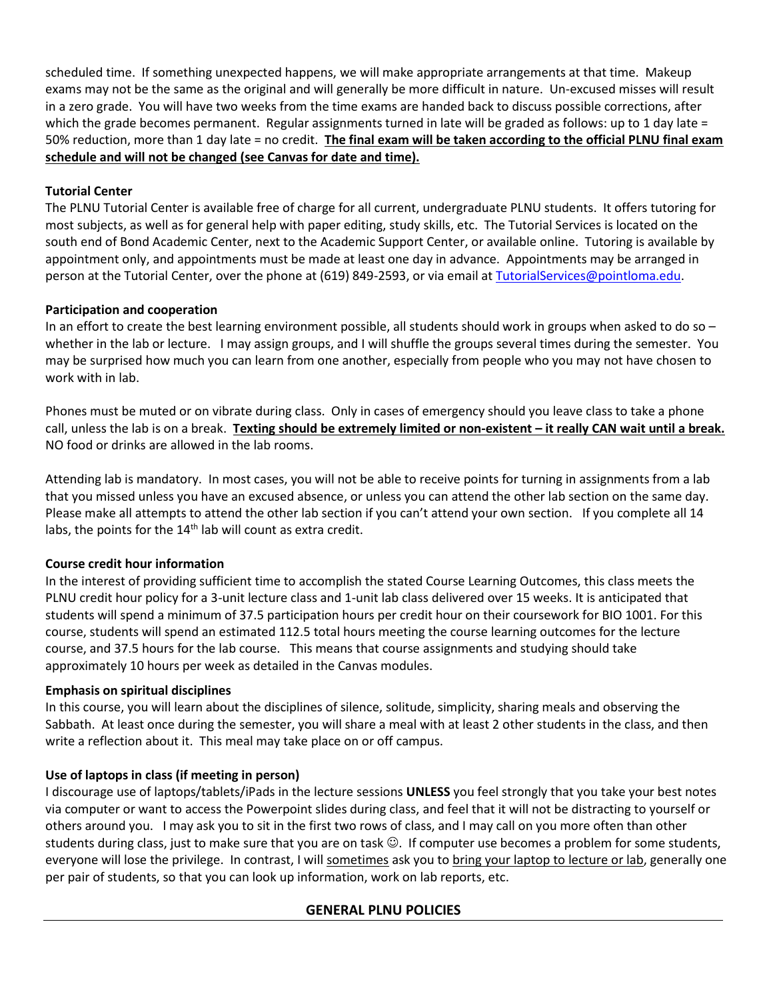scheduled time. If something unexpected happens, we will make appropriate arrangements at that time. Makeup exams may not be the same as the original and will generally be more difficult in nature. Un-excused misses will result in a zero grade. You will have two weeks from the time exams are handed back to discuss possible corrections, after which the grade becomes permanent. Regular assignments turned in late will be graded as follows: up to 1 day late = 50% reduction, more than 1 day late = no credit. **The final exam will be taken according to the official PLNU final exam schedule and will not be changed (see Canvas for date and time).**

### **Tutorial Center**

The PLNU Tutorial Center is available free of charge for all current, undergraduate PLNU students. It offers tutoring for most subjects, as well as for general help with paper editing, study skills, etc. The Tutorial Services is located on the south end of Bond Academic Center, next to the Academic Support Center, or available online. Tutoring is available by appointment only, and appointments must be made at least one day in advance. Appointments may be arranged in person at the Tutorial Center, over the phone at (619) 849-2593, or via email at [TutorialServices@pointloma.edu.](mailto:TutorialServices@pointloma.edu)

# **Participation and cooperation**

In an effort to create the best learning environment possible, all students should work in groups when asked to do so – whether in the lab or lecture. I may assign groups, and I will shuffle the groups several times during the semester. You may be surprised how much you can learn from one another, especially from people who you may not have chosen to work with in lab.

Phones must be muted or on vibrate during class. Only in cases of emergency should you leave class to take a phone call, unless the lab is on a break. **Texting should be extremely limited or non-existent – it really CAN wait until a break.** NO food or drinks are allowed in the lab rooms.

Attending lab is mandatory. In most cases, you will not be able to receive points for turning in assignments from a lab that you missed unless you have an excused absence, or unless you can attend the other lab section on the same day. Please make all attempts to attend the other lab section if you can't attend your own section. If you complete all 14 labs, the points for the  $14<sup>th</sup>$  lab will count as extra credit.

#### **Course credit hour information**

In the interest of providing sufficient time to accomplish the stated Course Learning Outcomes, this class meets the PLNU credit hour policy for a 3-unit lecture class and 1-unit lab class delivered over 15 weeks. It is anticipated that students will spend a minimum of 37.5 participation hours per credit hour on their coursework for BIO 1001. For this course, students will spend an estimated 112.5 total hours meeting the course learning outcomes for the lecture course, and 37.5 hours for the lab course. This means that course assignments and studying should take approximately 10 hours per week as detailed in the Canvas modules.

#### **Emphasis on spiritual disciplines**

In this course, you will learn about the disciplines of silence, solitude, simplicity, sharing meals and observing the Sabbath. At least once during the semester, you will share a meal with at least 2 other students in the class, and then write a reflection about it. This meal may take place on or off campus.

# **Use of laptops in class (if meeting in person)**

I discourage use of laptops/tablets/iPads in the lecture sessions **UNLESS** you feel strongly that you take your best notes via computer or want to access the Powerpoint slides during class, and feel that it will not be distracting to yourself or others around you. I may ask you to sit in the first two rows of class, and I may call on you more often than other students during class, just to make sure that you are on task  $\mathbb{O}$ . If computer use becomes a problem for some students, everyone will lose the privilege. In contrast, I will sometimes ask you to bring your laptop to lecture or lab, generally one per pair of students, so that you can look up information, work on lab reports, etc.

# **GENERAL PLNU POLICIES**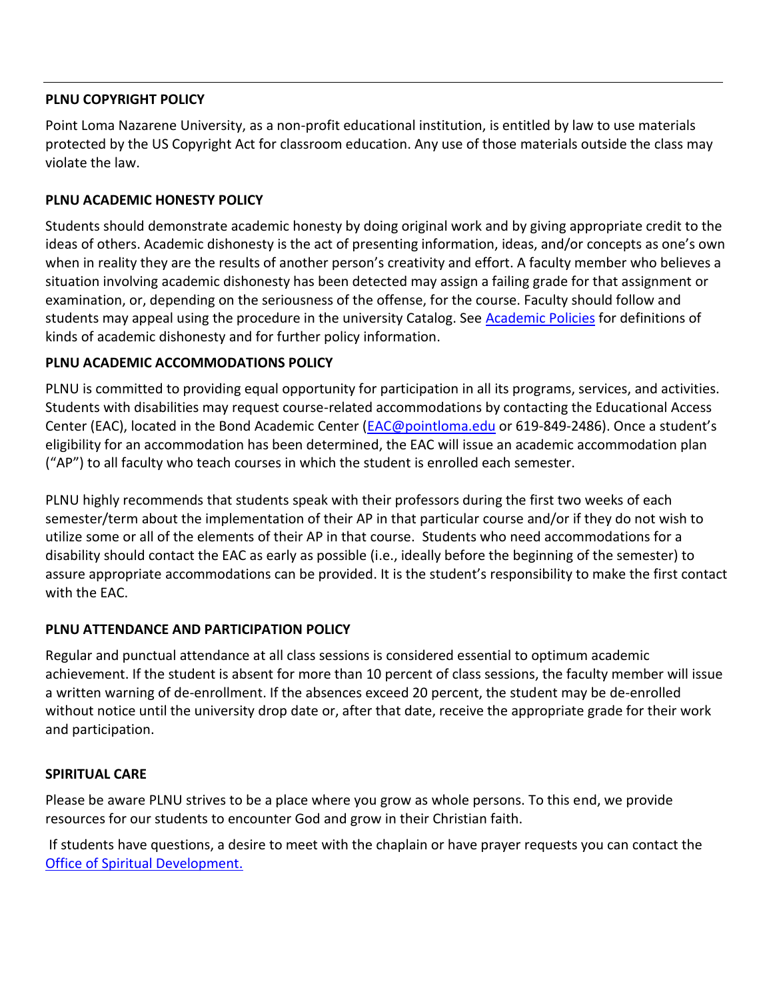# **PLNU COPYRIGHT POLICY**

Point Loma Nazarene University, as a non-profit educational institution, is entitled by law to use materials protected by the US Copyright Act for classroom education. Any use of those materials outside the class may violate the law.

# **PLNU ACADEMIC HONESTY POLICY**

Students should demonstrate academic honesty by doing original work and by giving appropriate credit to the ideas of others. Academic dishonesty is the act of presenting information, ideas, and/or concepts as one's own when in reality they are the results of another person's creativity and effort. A faculty member who believes a situation involving academic dishonesty has been detected may assign a failing grade for that assignment or examination, or, depending on the seriousness of the offense, for the course. Faculty should follow and students may appeal using the procedure in the university Catalog. See [Academic Policies](https://catalog.pointloma.edu/content.php?catoid=52&navoid=2919#Academic_Honesty) for definitions of kinds of academic dishonesty and for further policy information.

# **PLNU ACADEMIC ACCOMMODATIONS POLICY**

PLNU is committed to providing equal opportunity for participation in all its programs, services, and activities. Students with disabilities may request course-related accommodations by contacting the Educational Access Center (EAC), located in the Bond Academic Center [\(EAC@pointloma.edu](mailto:EAC@pointloma.edu) or 619-849-2486). Once a student's eligibility for an accommodation has been determined, the EAC will issue an academic accommodation plan ("AP") to all faculty who teach courses in which the student is enrolled each semester.

PLNU highly recommends that students speak with their professors during the first two weeks of each semester/term about the implementation of their AP in that particular course and/or if they do not wish to utilize some or all of the elements of their AP in that course. Students who need accommodations for a disability should contact the EAC as early as possible (i.e., ideally before the beginning of the semester) to assure appropriate accommodations can be provided. It is the student's responsibility to make the first contact with the EAC.

# **PLNU ATTENDANCE AND PARTICIPATION POLICY**

Regular and punctual attendance at all class sessions is considered essential to optimum academic achievement. If the student is absent for more than 10 percent of class sessions, the faculty member will issue a written warning of de-enrollment. If the absences exceed 20 percent, the student may be de-enrolled without notice until the university drop date or, after that date, receive the appropriate grade for their work and participation.

# **SPIRITUAL CARE**

Please be aware PLNU strives to be a place where you grow as whole persons. To this end, we provide resources for our students to encounter God and grow in their Christian faith.

If students have questions, a desire to meet with the chaplain or have prayer requests you can contact the Office of Spiritual Development.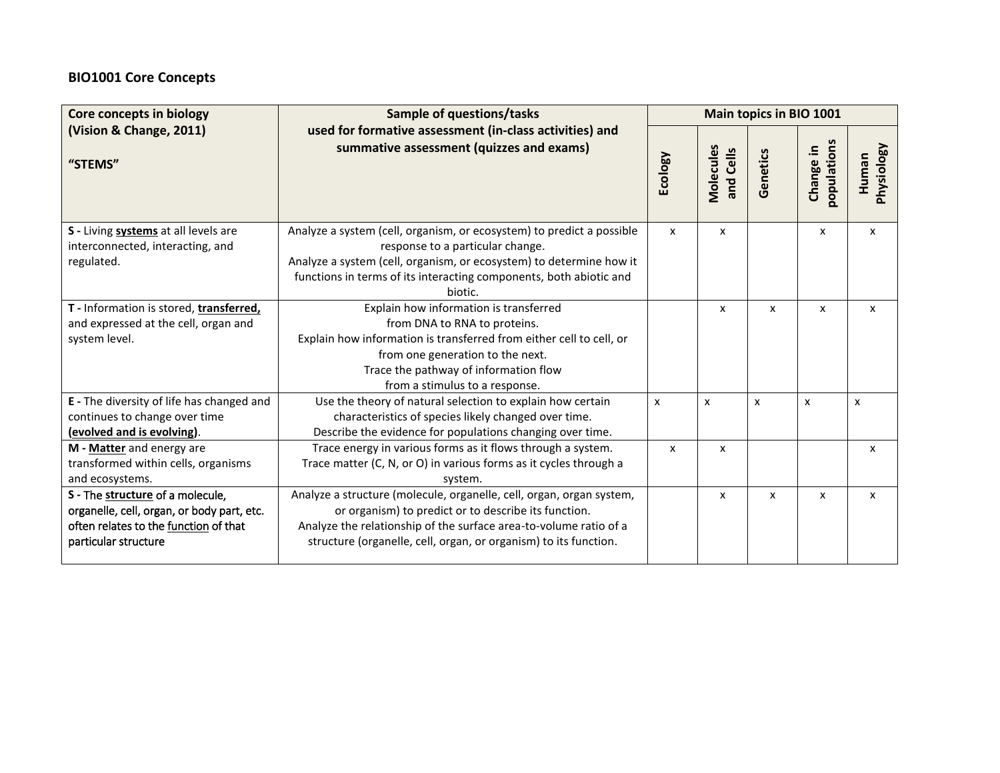# **BIO1001 Core Concepts**

| <b>Core concepts in biology</b>                                                                                                                 | <b>Sample of questions/tasks</b>                                                                                                                                                                                                                                      | Main topics in BIO 1001 |                           |          |                          |                     |
|-------------------------------------------------------------------------------------------------------------------------------------------------|-----------------------------------------------------------------------------------------------------------------------------------------------------------------------------------------------------------------------------------------------------------------------|-------------------------|---------------------------|----------|--------------------------|---------------------|
| (Vision & Change, 2011)<br>"STEMS"                                                                                                              | used for formative assessment (in-class activities) and<br>summative assessment (quizzes and exams)                                                                                                                                                                   |                         | Molecules<br>and Cells    | Genetics | populations<br>Change in | Physiology<br>Human |
| S - Living systems at all levels are<br>interconnected, interacting, and<br>regulated.                                                          | Analyze a system (cell, organism, or ecosystem) to predict a possible<br>response to a particular change.<br>Analyze a system (cell, organism, or ecosystem) to determine how it<br>functions in terms of its interacting components, both abiotic and<br>biotic.     | $\mathsf{x}$            | x                         |          | X                        | X                   |
| T - Information is stored, transferred,<br>and expressed at the cell, organ and<br>system level.                                                | Explain how information is transferred<br>from DNA to RNA to proteins.<br>Explain how information is transferred from either cell to cell, or<br>from one generation to the next.<br>Trace the pathway of information flow<br>from a stimulus to a response.          |                         | X                         | x        | x                        | $\mathsf{x}$        |
| E - The diversity of life has changed and<br>continues to change over time<br>(evolved and is evolving).                                        | Use the theory of natural selection to explain how certain<br>characteristics of species likely changed over time.<br>Describe the evidence for populations changing over time.                                                                                       | x                       | $\boldsymbol{\mathsf{x}}$ | x        | X                        | X                   |
| M - Matter and energy are<br>transformed within cells, organisms<br>and ecosystems.                                                             | Trace energy in various forms as it flows through a system.<br>Trace matter (C, N, or O) in various forms as it cycles through a<br>system.                                                                                                                           | $\mathsf{x}$            | x                         |          |                          | x                   |
| S - The structure of a molecule,<br>organelle, cell, organ, or body part, etc.<br>often relates to the function of that<br>particular structure | Analyze a structure (molecule, organelle, cell, organ, organ system,<br>or organism) to predict or to describe its function.<br>Analyze the relationship of the surface area-to-volume ratio of a<br>structure (organelle, cell, organ, or organism) to its function. |                         | x                         | X        | x                        | x                   |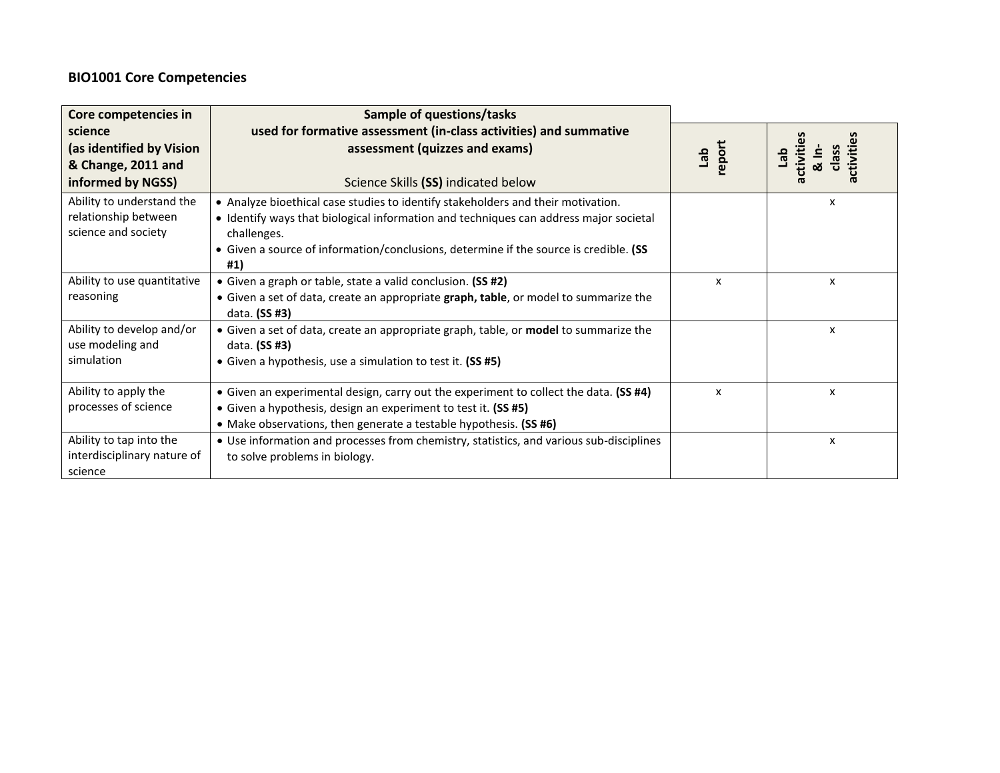# **BIO1001 Core Competencies**

| Core competencies in        | Sample of questions/tasks                                                                             |               |   |
|-----------------------------|-------------------------------------------------------------------------------------------------------|---------------|---|
| science                     | used for formative assessment (in-class activities) and summative                                     |               |   |
| (as identified by Vision    | assessment (quizzes and exams)                                                                        | tab<br>report | έ |
| & Change, 2011 and          |                                                                                                       |               |   |
| informed by NGSS)           | Science Skills (SS) indicated below                                                                   |               |   |
| Ability to understand the   | • Analyze bioethical case studies to identify stakeholders and their motivation.                      |               | x |
| relationship between        | • Identify ways that biological information and techniques can address major societal                 |               |   |
| science and society         | challenges.                                                                                           |               |   |
|                             | • Given a source of information/conclusions, determine if the source is credible. (SS                 |               |   |
|                             | #1)                                                                                                   |               |   |
| Ability to use quantitative | • Given a graph or table, state a valid conclusion. (SS #2)                                           | x             | x |
| reasoning                   | • Given a set of data, create an appropriate graph, table, or model to summarize the<br>data. (SS #3) |               |   |
| Ability to develop and/or   | • Given a set of data, create an appropriate graph, table, or model to summarize the                  |               | x |
| use modeling and            | data. (SS #3)                                                                                         |               |   |
| simulation                  | • Given a hypothesis, use a simulation to test it. (SS #5)                                            |               |   |
| Ability to apply the        | • Given an experimental design, carry out the experiment to collect the data. (SS #4)                 | X             | X |
| processes of science        | • Given a hypothesis, design an experiment to test it. (SS #5)                                        |               |   |
|                             | • Make observations, then generate a testable hypothesis. (SS #6)                                     |               |   |
| Ability to tap into the     | • Use information and processes from chemistry, statistics, and various sub-disciplines               |               | x |
| interdisciplinary nature of | to solve problems in biology.                                                                         |               |   |
| science                     |                                                                                                       |               |   |